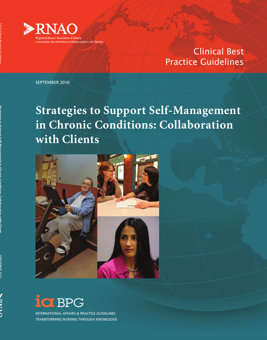

## Clinical Best Practice Guidelines

SEPTEMBER 2010

**Strategies to Support Self-Management in Chronic Conditions: Collaboration with Clients**





INTERNATIONAL AFFAIRS & PRACTICE GUIDELINES TRANSFORMING NURSING THROUGH KNOWLEDGE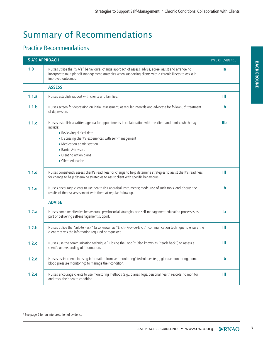# Summary of Recommendations

### Practice Recommendations

| <b>5 A'S APPROACH</b> |                                                                                                                                                                                                                                              | TYPE OF EVIDENCE <sup>1</sup> |
|-----------------------|----------------------------------------------------------------------------------------------------------------------------------------------------------------------------------------------------------------------------------------------|-------------------------------|
| 1.0                   | Nurses utilize the "5 A's" behavioural change approach of assess, advise, agree, assist and arrange, to<br>incorporate multiple self-management strategies when supporting clients with a chronic illness to assist in<br>improved outcomes. | <b>la</b>                     |
|                       | <b>ASSESS</b>                                                                                                                                                                                                                                |                               |
| 1.1.a                 | Nurses establish rapport with clients and families.                                                                                                                                                                                          | Ш                             |
| 1.1.b                 | Nurses screen for depression on initial assessment, at regular intervals and advocate for follow-up <sup>G</sup> treatment<br>of depression.                                                                                                 | $\mathbf{I}$                  |
| 1.1.c                 | Nurses establish a written agenda for appointments in collaboration with the client and family, which may<br>include:<br>Reviewing clinical data                                                                                             | I1b                           |
|                       | Discussing client's experiences with self-management<br>• Medication administration                                                                                                                                                          |                               |
|                       | <b>Barriers/stressors</b>                                                                                                                                                                                                                    |                               |
|                       | Creating action plans                                                                                                                                                                                                                        |                               |
|                       | Client education                                                                                                                                                                                                                             |                               |
| 1.1.d                 | Nurses consistently assess client's readiness for change to help determine strategies to assist client's readiness<br>for change to help determine strategies to assist client with specific behaviours.                                     | Ш                             |
| 1.1.e                 | Nurses encourage clients to use health risk appraisal instruments; model use of such tools, and discuss the<br>results of the risk assessment with them at regular follow up.                                                                | $\mathbf{I}$                  |
|                       | <b>ADVISE</b>                                                                                                                                                                                                                                |                               |
| 1.2.a                 | Nurses combine effective behavioural, psychosocial strategies and self-management education processes as<br>part of delivering self-management support.                                                                                      | la                            |
| 1.2.b                 | Nurses utilize the "ask-tell-ask" (also known as "Elicit- Provide-Elicit") communication technique to ensure the<br>client receives the information required or requested.                                                                   | Ш                             |
| 1.2.c                 | Nurses use the communication technique "Closing the Loop" <sup>G</sup> (also known as "teach back") to assess a<br>client's understanding of information.                                                                                    | Ш                             |
| 1.2.d                 | Nurses assist clients in using information from self-monitoring <sup>G</sup> techniques (e.g., glucose monitoring, home<br>blood pressure monitoring) to manage their condition.                                                             | I <sub>b</sub>                |
| 1.2.e                 | Nurses encourage clients to use monitoring methods (e.g., diaries, logs, personal health records) to monitor<br>and track their health condition.                                                                                            | Ш                             |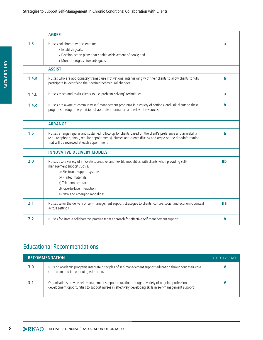#### Strategies to Support Self-Management in Chronic Conditions: Collaboration with Clients

|       | <b>AGREE</b>                                                                                                                                                                                                                                                                             |                           |
|-------|------------------------------------------------------------------------------------------------------------------------------------------------------------------------------------------------------------------------------------------------------------------------------------------|---------------------------|
| 1.3   | Nurses collaborate with clients to:<br>Establish goals;<br>Develop action plans that enable achievement of goals; and<br>Monitor progress towards goals.                                                                                                                                 | la                        |
|       | <b>ASSIST</b>                                                                                                                                                                                                                                                                            |                           |
| 1.4.a | Nurses who are appropriately trained use motivational interviewing with their clients to allow clients to fully<br>participate in identifying their desired behavioural changes.                                                                                                         | la                        |
| 1.4.b | Nurses teach and assist clients to use problem-solving <sup>G</sup> techniques.                                                                                                                                                                                                          | <b>la</b>                 |
| 1.4.c | Nurses are aware of community self-management programs in a variety of settings, and link clients to these<br>programs through the provision of accurate information and relevant resources.                                                                                             | <b>Ib</b>                 |
|       | <b>ARRANGE</b>                                                                                                                                                                                                                                                                           |                           |
| 1.5   | Nurses arrange regular and sustained follow-up for clients based on the client's preference and availability<br>(e.g., telephone, email, regular appointments). Nurses and clients discuss and argee on the data/information<br>that will be reviewed at each appointment.               | la                        |
|       | <b>INNOVATIVE DELIVERY MODELS</b>                                                                                                                                                                                                                                                        |                           |
| 2.0   | Nurses use a variety of innovative, creative, and flexible modalities with clients when providing self-<br>management support such as:<br>a) Electronic support systems<br>b) Printed materials<br>c) Telephone contact<br>d) Face-to-face interaction<br>e) New and emerging modalities | I1b                       |
| 2.1   | Nurses tailor the delivery of self-management support strategies to clients' culture, social and economic context<br>across settings.                                                                                                                                                    | <b>Ila</b>                |
| 2.2   | Nurses facilitate a collaborative practice team approach for effective self-management support.                                                                                                                                                                                          | $\mathsf{I}^{\mathsf{b}}$ |

### Educational Recommendations

| <b>RECOMMENDATION.</b> |                                                                                                                                                                                                               | <b>TYPE OF EVIDENCE</b> |
|------------------------|---------------------------------------------------------------------------------------------------------------------------------------------------------------------------------------------------------------|-------------------------|
| 3.0                    | Nursing academic programs integrate principles of self-management support education throughout their core<br>curriculum and in continuing education.                                                          |                         |
|                        | Organizations provide self-management support education through a variety of ongoing professional<br>development opportunities to support nurses in effectively developing skills in self-management support. |                         |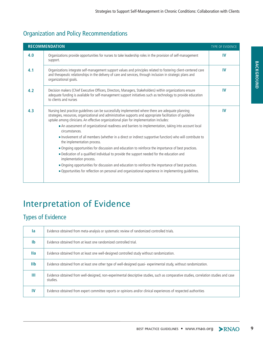## Organization and Policy Recommendations

| <b>RECOMMENDATION</b><br><b>TYPE OF EVIDENCE</b> |                                                                                                                                                                                                                                                                                                             |           |
|--------------------------------------------------|-------------------------------------------------------------------------------------------------------------------------------------------------------------------------------------------------------------------------------------------------------------------------------------------------------------|-----------|
| 4.0                                              | Organizations provide opportunities for nurses to take leadership roles in the provision of self-management<br>support.                                                                                                                                                                                     | <b>IV</b> |
| 4.1                                              | Organizations integrate self-management support values and principles related to fostering client-centered care<br>and therapeutic relationships in the delivery of care and services, through inclusion in strategic plans and<br>organizational goals.                                                    | <b>IV</b> |
| 4.2                                              | Decision makers (Chief Executive Officers, Directors, Managers, Stakeholders) within organizations ensure<br>adequate funding is available for self-management support initiatives such as technology to provide education<br>to clients and nurses                                                         | <b>IV</b> |
| 4.3                                              | Nursing best practice quidelines can be successfully implemented where there are adequate planning<br>strategies, resources, organizational and administrative supports and appropriate facilitation of guideline<br>uptake among clinicians. An effective organizational plan for implementation includes: | <b>IV</b> |
|                                                  | An assessment of organizational readiness and barriers to implementation, taking into account local<br>circumstances.                                                                                                                                                                                       |           |
|                                                  | Involvement of all members (whether in a direct or indirect supportive function) who will contribute to<br>the implementation process.                                                                                                                                                                      |           |
|                                                  | ■ Ongoing opportunities for discussion and education to reinforce the importance of best practices.                                                                                                                                                                                                         |           |
|                                                  | Dedication of a qualified individual to provide the support needed for the education and<br>implementation process.                                                                                                                                                                                         |           |
|                                                  | • Ongoing opportunities for discussion and education to reinforce the importance of best practices.                                                                                                                                                                                                         |           |
|                                                  | . Opportunities for reflection on personal and organizational experience in implementing quidelines.                                                                                                                                                                                                        |           |

## Interpretation of Evidence

### Types of Evidence

| la         | Evidence obtained from meta-analysis or systematic review of randomized controlled trials.                                                        |
|------------|---------------------------------------------------------------------------------------------------------------------------------------------------|
| Ib         | Evidence obtained from at least one randomized controlled trial.                                                                                  |
| <b>Ila</b> | Evidence obtained from at least one well-designed controlled study without randomization.                                                         |
| I1b        | Evidence obtained from at least one other type of well-designed quasi-experimental study, without randomization.                                  |
| Ш          | Evidence obtained from well-designed, non-experimental descriptive studies, such as comparative studies, correlation studies and case<br>studies. |
| IV         | Evidence obtained from expert committee reports or opinions and/or clinical experiences of respected authorities                                  |